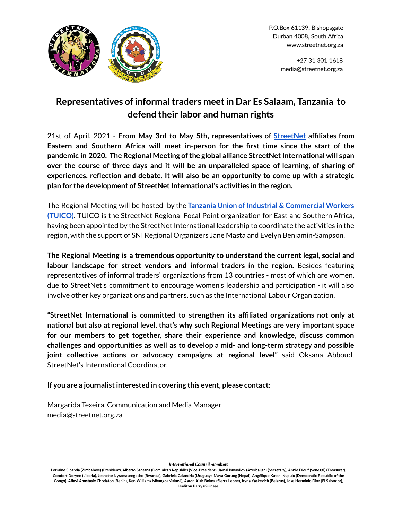

+27 31 301 1618 media@streetnet.org.za

## **Representatives of informaltraders meetin Dar Es Salaam, Tanzania to defend their labor and human rights**

21st of April, 2021 - **From May 3rd to May 5th, representatives of [StreetNet](https://streetnet.org.za/) affiliates from Eastern and Southern Africa will meet in-person for the first time since the start of the pandemic in 2020. The Regional Meeting ofthe global alliance StreetNetInternational will span over the course of three days and it will be an unparalleled space of learning, of sharing of experiences, reflection and debate. It will also be an opportunity to come up with a strategic plan** for the development of StreetNet International's activities in the region.

The Regional Meeting will be hosted by the **Tanzania Union of Industrial & [Commercial](http://www.tuico.or.tz/) Workers [\(TUICO\)](http://www.tuico.or.tz/)**. TUICO is the StreetNet Regional Focal Point organization for East and Southern Africa, having been appointed by the StreetNet International leadership to coordinate the activities in the region, with the support of SNI Regional Organizers Jane Masta and Evelyn Benjamin-Sampson.

**The Regional Meeting is a tremendous opportunity to understand the current legal, social and labour landscape for street vendors and informal traders in the region.** Besides featuring representatives of informal traders' organizations from 13 countries - most of which are women, due to StreetNet's commitment to encourage women's leadership and participation - it will also involve other key organizations and partners, such as the International Labour Organization.

**"StreetNet International is committed to strengthen its affiliated organizations not only at national but also at regional level, that's why such Regional Meetings are very important space for our members to get together, share their experience and knowledge, discuss common challenges and opportunities as well as to develop a mid- and long-term strategy and possible joint collective actions or advocacy campaigns at regional level"** said Oksana Abboud, StreetNet's International Coordinator.

**If you are a journalistinterested in covering this event, please contact:**

Margarida Texeira, Communication and Media Manager media@streetnet.org.za

## **International Council members**

Lorraine Sibanda (Zimbabwe) (President), Alberto Santana (Dominican Republic) (Vice-President), Jamal Ismayilov (Azerbaijan) (Secretary), Annie Diouf (Senegal) (Treasurer), Comfort Doryen (Liberia), Jeanette Nyramasengesho (Rwanda), Gabriela Calandria (Uruguay), Maya Gurung (Nepal), Angélique Katani Kupulu (Democratic Republic of the Congo), Afiavi Anastasie Chodaton (Benin), Ken Williams Mhango (Malawi), Aaron Aiah Boima (Sierra Leone), Iryna Yaskevich (Belarus), Jose Herminio Diaz (El Salvador), Kaditou Barry (Guinea).